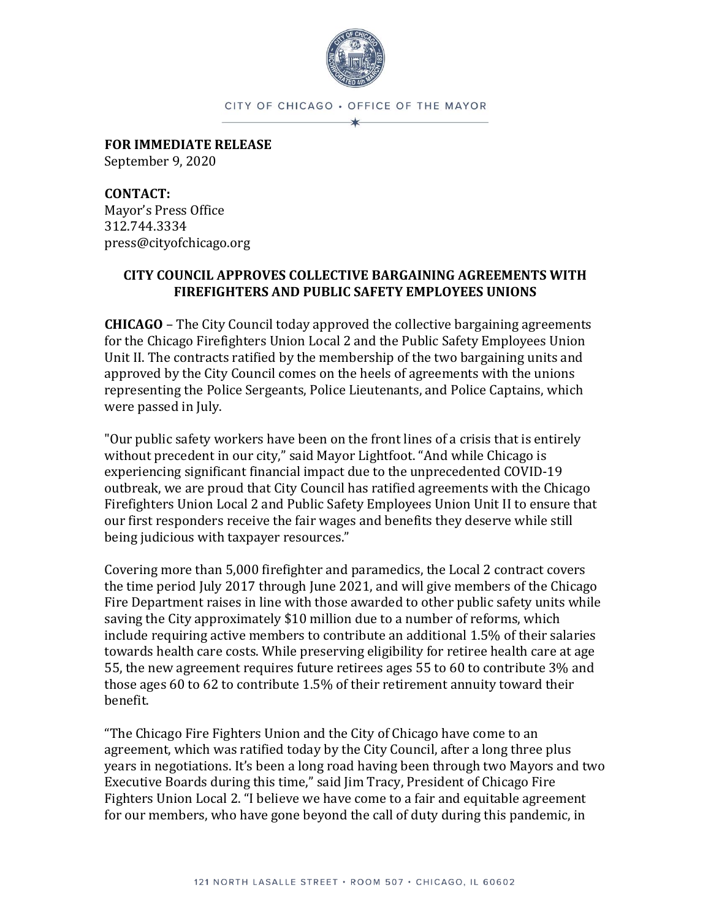

CITY OF CHICAGO . OFFICE OF THE MAYOR ×

**FOR IMMEDIATE RELEASE** September 9, 2020

**CONTACT:**  Mayor's Press Office 312.744.3334 press@cityofchicago.org

## **CITY COUNCIL APPROVES COLLECTIVE BARGAINING AGREEMENTS WITH FIREFIGHTERS AND PUBLIC SAFETY EMPLOYEES UNIONS**

**CHICAGO** – The City Council today approved the collective bargaining agreements for the Chicago Firefighters Union Local 2 and the Public Safety Employees Union Unit II. The contracts ratified by the membership of the two bargaining units and approved by the City Council comes on the heels of agreements with the unions representing the Police Sergeants, Police Lieutenants, and Police Captains, which were passed in July.

"Our public safety workers have been on the front lines of a crisis that is entirely without precedent in our city," said Mayor Lightfoot. "And while Chicago is experiencing significant financial impact due to the unprecedented COVID-19 outbreak, we are proud that City Council has ratified agreements with the Chicago Firefighters Union Local 2 and Public Safety Employees Union Unit II to ensure that our first responders receive the fair wages and benefits they deserve while still being judicious with taxpayer resources."

Covering more than 5,000 firefighter and paramedics, the Local 2 contract covers the time period July 2017 through June 2021, and will give members of the Chicago Fire Department raises in line with those awarded to other public safety units while saving the City approximately \$10 million due to a number of reforms, which include requiring active members to contribute an additional 1.5% of their salaries towards health care costs. While preserving eligibility for retiree health care at age 55, the new agreement requires future retirees ages 55 to 60 to contribute 3% and those ages 60 to 62 to contribute 1.5% of their retirement annuity toward their benefit.

"The Chicago Fire Fighters Union and the City of Chicago have come to an agreement, which was ratified today by the City Council, after a long three plus years in negotiations. It's been a long road having been through two Mayors and two Executive Boards during this time," said Jim Tracy, President of Chicago Fire Fighters Union Local 2. "I believe we have come to a fair and equitable agreement for our members, who have gone beyond the call of duty during this pandemic, in